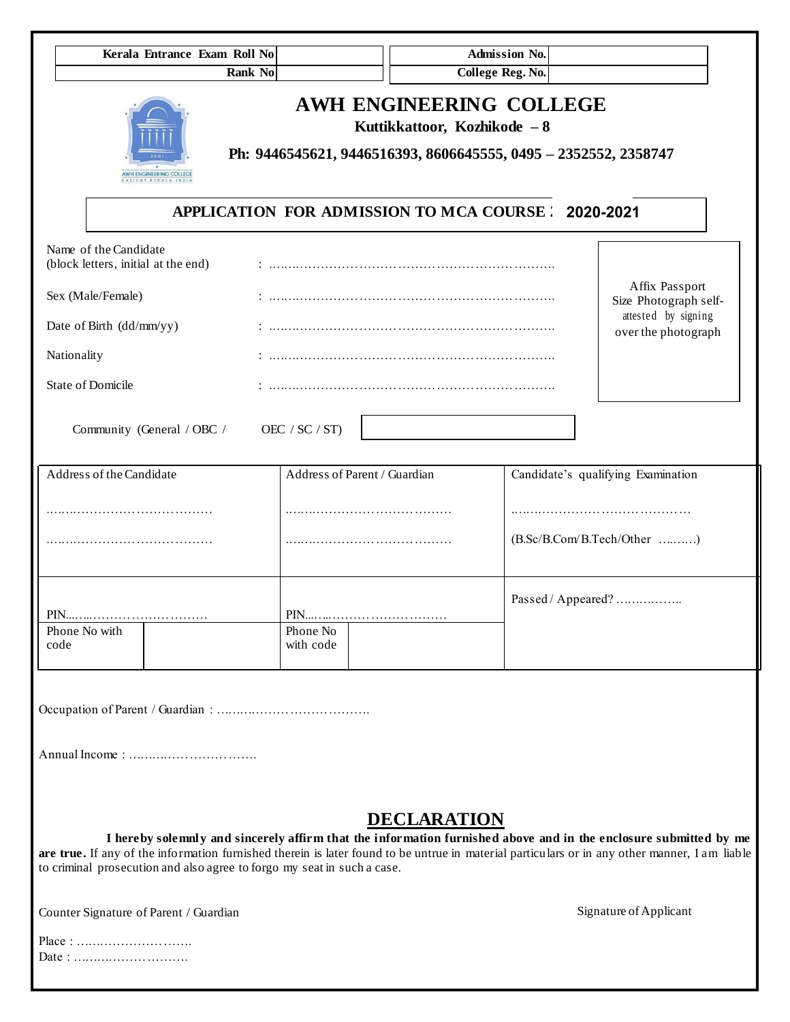| Kerala Entrance Exam Roll No<br><b>Rank No</b>                                                                                                                                                                                                                                                                                               |                                            | <b>College Reg. No.</b>                                                                                                    | Admission No.      |                                    |
|----------------------------------------------------------------------------------------------------------------------------------------------------------------------------------------------------------------------------------------------------------------------------------------------------------------------------------------------|--------------------------------------------|----------------------------------------------------------------------------------------------------------------------------|--------------------|------------------------------------|
|                                                                                                                                                                                                                                                                                                                                              |                                            | AWH ENGINEERING COLLEGE<br>Kuttikkattoor, Kozhikode - 8<br>Ph: 9446545621, 9446516393, 8606645555, 0495 - 2352552, 2358747 |                    |                                    |
| AWH ENGINEERING COLLEGE<br><b>CUT. KERALA.IN</b>                                                                                                                                                                                                                                                                                             |                                            | APPLICATION FOR ADMISSION TO MCA COURSE ? 2020-2021                                                                        |                    |                                    |
| Name of the Candidate<br>(block letters, initial at the end)                                                                                                                                                                                                                                                                                 |                                            |                                                                                                                            |                    |                                    |
| Sex (Male/Female)                                                                                                                                                                                                                                                                                                                            | Affix Passport<br>Size Photograph self-    |                                                                                                                            |                    |                                    |
| Date of Birth (dd/mm/yy)                                                                                                                                                                                                                                                                                                                     | attested by signing<br>over the photograph |                                                                                                                            |                    |                                    |
| Nationality                                                                                                                                                                                                                                                                                                                                  |                                            |                                                                                                                            |                    |                                    |
| <b>State of Domicile</b>                                                                                                                                                                                                                                                                                                                     |                                            |                                                                                                                            |                    |                                    |
| Community (General / OBC /                                                                                                                                                                                                                                                                                                                   | OEC / $SC / ST$ )                          |                                                                                                                            |                    |                                    |
| Address of the Candidate                                                                                                                                                                                                                                                                                                                     | Address of Parent / Guardian               |                                                                                                                            |                    | Candidate's qualifying Examination |
|                                                                                                                                                                                                                                                                                                                                              |                                            |                                                                                                                            |                    |                                    |
|                                                                                                                                                                                                                                                                                                                                              |                                            |                                                                                                                            |                    | (B.Sc/B.Com/B.Tech/Other )         |
|                                                                                                                                                                                                                                                                                                                                              |                                            |                                                                                                                            | Passed / Appeared? |                                    |
| Phone No with<br>code                                                                                                                                                                                                                                                                                                                        | Phone No<br>with code                      |                                                                                                                            |                    |                                    |
|                                                                                                                                                                                                                                                                                                                                              |                                            |                                                                                                                            |                    |                                    |
|                                                                                                                                                                                                                                                                                                                                              |                                            |                                                                                                                            |                    |                                    |
| I hereby solemnly and sincerely affirm that the information furnished above and in the enclosure submitted by me<br>are true. If any of the information furnished therein is later found to be untrue in material particulars or in any other manner, I am liable<br>to criminal prosecution and also agree to forgo my seat in such a case. |                                            | <b>DECLARATION</b>                                                                                                         |                    |                                    |
| Counter Signature of Parent / Guardian                                                                                                                                                                                                                                                                                                       |                                            |                                                                                                                            |                    | Signature of Applicant             |
| Place:                                                                                                                                                                                                                                                                                                                                       |                                            |                                                                                                                            |                    |                                    |